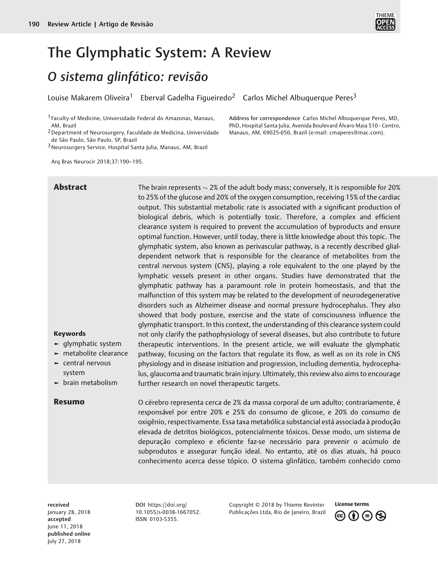

# The Glymphatic System: A Review

## O sistema glinfático: revisão

Louise Makarem Oliveira<sup>1</sup> Eberval Gadelha Figueiredo<sup>2</sup> Carlos Michel Albuquerque Peres<sup>3</sup>

1 Faculty of Medicine, Universidade Federal do Amazonas, Manaus, AM, Brazil

2Department of Neurosurgery, Faculdade de Medicina, Universidade de São Paulo, São Paulo, SP, Brazil

3Neurosurgery Service, Hospital Santa Julia, Manaus, AM, Brazil

Arq Bras Neurocir 2018;37:190–195.

Address for correspondence Carlos Michel Albuquerque Peres, MD, PhD, Hospital Santa Julia, Avenida Boulevard Álvaro Maia 510 - Centro, Manaus, AM, 69025-050, Brazil (e-mail: cmaperes@mac.com).

► metabolite clearance **Abstract** The brain represents  $\sim$  2% of the adult body mass; conversely, it is responsible for 20% to 25% of the glucose and 20% of the oxygen consumption, receiving 15% of the cardiac output. This substantial metabolic rate is associated with a significant production of biological debris, which is potentially toxic. Therefore, a complex and efficient clearance system is required to prevent the accumulation of byproducts and ensure optimal function. However, until today, there is little knowledge about this topic. The glymphatic system, also known as perivascular pathway, is a recently described glialdependent network that is responsible for the clearance of metabolites from the central nervous system (CNS), playing a role equivalent to the one played by the lymphatic vessels present in other organs. Studies have demonstrated that the glymphatic pathway has a paramount role in protein homeostasis, and that the malfunction of this system may be related to the development of neurodegenerative disorders such as Alzheimer disease and normal pressure hydrocephalus. They also showed that body posture, exercise and the state of consciousness influence the glymphatic transport. In this context, the understanding of this clearance system could not only clarify the pathophysiology of several diseases, but also contribute to future therapeutic interventions. In the present article, we will evaluate the glymphatic pathway, focusing on the factors that regulate its flow, as well as on its role in CNS physiology and in disease initiation and progression, including dementia, hydrocephalus, glaucoma and traumatic brain injury. Ultimately, this review also aims to encourage further research on novel therapeutic targets.

Keywords

► glymphatic system

► central nervous system

► brain metabolism

Resumo O cérebro representa cerca de 2% da massa corporal de um adulto; contrariamente, é responsável por entre 20% e 25% do consumo de glicose, e 20% do consumo de oxigênio, respectivamente. Essa taxa metabólica substancial está associada à produção elevada de detritos biológicos, potencialmente tóxicos. Desse modo, um sistema de depuração complexo e eficiente faz-se necessário para prevenir o acúmulo de subprodutos e assegurar função ideal. No entanto, até os dias atuais, há pouco conhecimento acerca desse tópico. O sistema glinfático, também conhecido como

received January 28, 2018 accepted June 11, 2018 published online July 27, 2018

DOI https://doi.org/ 10.1[055/s-0038-1667](https://doi.org/10.1055/s-0038-1667052)052. ISSN [0103-5355.](https://doi.org/10.1055/s-0038-1667052)

Copyright © 2018 by Thieme Revinter Publicações Ltda, Rio de Janeiro, Brazil

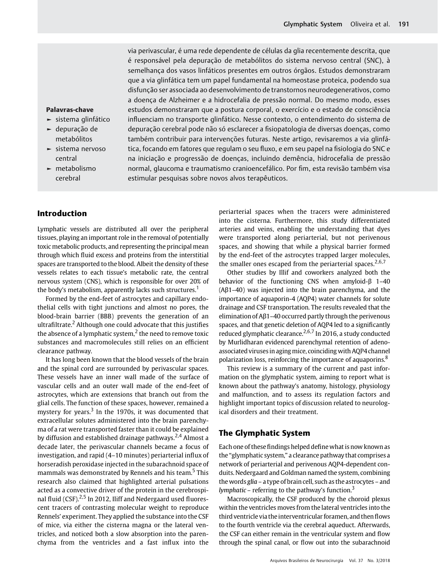via perivascular, é uma rede dependente de células da glia recentemente descrita, que é responsável pela depuração de metabólitos do sistema nervoso central (SNC), à semelhança dos vasos linfáticos presentes em outros órgãos. Estudos demonstraram que a via glinfática tem um papel fundamental na homeostase proteica, podendo sua disfunção ser associada ao desenvolvimento de transtornos neurodegenerativos, como a doença de Alzheimer e a hidrocefalia de pressão normal. Do mesmo modo, esses estudos demonstraram que a postura corporal, o exercício e o estado de consciência influenciam no transporte glinfático. Nesse contexto, o entendimento do sistema de depuração cerebral pode não só esclarecer a fisiopatologia de diversas doenças, como também contribuir para intervenções futuras. Neste artigo, revisaremos a via glinfática, focando em fatores que regulam o seu fluxo, e em seu papel na fisiologia do SNC e na iniciação e progressão de doenças, incluindo demência, hidrocefalia de pressão normal, glaucoma e traumatismo cranioencefálico. Por fim, esta revisão também visa estimular pesquisas sobre novos alvos terapêuticos.

#### Palavras-chave

- ► sistema glinfático
- ► depuração de metabólitos
- ► sistema nervoso central
- ► metabolismo cerebral

### Introduction

Lymphatic vessels are distributed all over the peripheral tissues, playing an important role in the removal of potentially toxic metabolic products, and representing the principal mean through which fluid excess and proteins from the interstitial spaces are transported to the blood. Albeit the density of these vessels relates to each tissue's metabolic rate, the central nervous system (CNS), which is responsible for over 20% of the body's metabolism, apparently lacks such structures.<sup>1</sup>

Formed by the end-feet of astrocytes and capillary endothelial cells with tight junctions and almost no pores, the blood-brain barrier (BBB) prevents the generation of an ultrafiltrate.<sup>2</sup> Although one could advocate that this justifies the absence of a lymphatic system, $<sup>2</sup>$  the need to remove toxic</sup> substances and macromolecules still relies on an efficient clearance pathway.

It has long been known that the blood vessels of the brain and the spinal cord are surrounded by perivascular spaces. These vessels have an inner wall made of the surface of vascular cells and an outer wall made of the end-feet of astrocytes, which are extensions that branch out from the glial cells. The function of these spaces, however, remained a mystery for years.<sup>3</sup> In the 1970s, it was documented that extracellular solutes administered into the brain parenchyma of a rat were transported faster than it could be explained by diffusion and established drainage pathways.<sup>2,4</sup> Almost a decade later, the perivascular channels became a focus of investigation, and rapid (4–10 minutes) periarterial influx of horseradish peroxidase injected in the subarachnoid space of mammals was demonstrated by Rennels and his team.<sup>5</sup> This research also claimed that highlighted arterial pulsations acted as a convective driver of the protein in the cerebrospinal fluid  $(CSF)$ <sup>2,5</sup> In 2012, Iliff and Nedergaard used fluorescent tracers of contrasting molecular weight to reproduce Rennels' experiment. They applied the substance into the CSF of mice, via either the cisterna magna or the lateral ventricles, and noticed both a slow absorption into the parenchyma from the ventricles and a fast influx into the

periarterial spaces when the tracers were administered into the cisterna. Furthermore, this study differentiated arteries and veins, enabling the understanding that dyes were transported along periarterial, but not perivenous spaces, and showing that while a physical barrier formed by the end-feet of the astrocytes trapped larger molecules, the smaller ones escaped from the periarterial spaces.<sup>2,6,7</sup>

Other studies by Illif and coworkers analyzed both the behavior of the functioning CNS when amyloid-β 1–40 (Aβ1–40) was injected into the brain parenchyma, and the importance of aquaporin-4 (AQP4) water channels for solute drainage and CSF transportation. The results revealed that the elimination of Aβ1–40 occurred partly through the perivenous spaces, and that genetic deletion of AQP4 led to a significantly reduced glymphatic clearance.<sup>2,6,7</sup> In 2016, a study conducted by Murlidharan evidenced parenchymal retention of adenoassociated viruses in aging mice, coinciding with AQP4 channel polarization loss, reinforcing the importance of aquaporins.<sup>8</sup>

This review is a summary of the current and past information on the glymphatic system, aiming to report what is known about the pathway's anatomy, histology, physiology and malfunction, and to assess its regulation factors and highlight important topics of discussion related to neurological disorders and their treatment.

### The Glymphatic System

Each one of these findings helped define what is now known as the "glymphatic system," a clearance pathway that comprises a network of periarterial and perivenous AQP4-dependent conduits. Nedergaard and Goldman named the system, combining the words glia – a type of brain cell, such as the astrocytes – and *lymphatic* – referring to the pathway's function.<sup>3</sup>

Macroscopically, the CSF produced by the choroid plexus within the ventricles moves from the lateral ventricles into the third ventricle via the interventricular foramen, and then flows to the fourth ventricle via the cerebral aqueduct. Afterwards, the CSF can either remain in the ventricular system and flow through the spinal canal, or flow out into the subarachnoid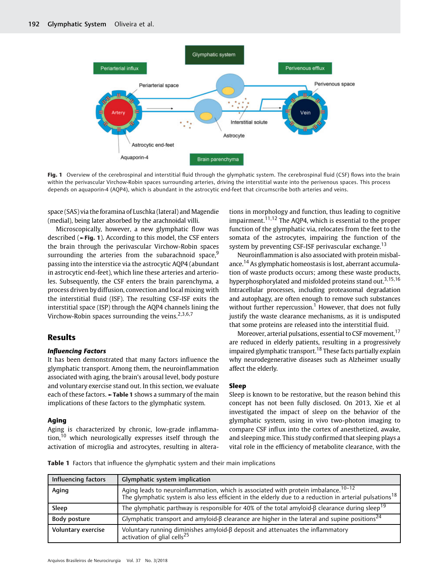

Fig. 1 Overview of the cerebrospinal and interstitial fluid through the glymphatic system. The cerebrospinal fluid (CSF) flows into the brain within the perivascular Virchow-Robin spaces surrounding arteries, driving the interstitial waste into the perivenous spaces. This process depends on aquaporin-4 (AQP4), which is abundant in the astrocytic end-feet that circumscribe both arteries and veins.

space (SAS) via the foramina of Luschka (lateral) and Magendie (medial), being later absorbed by the arachnoidal villi.

Microscopically, however, a new glymphatic flow was described (►Fig. 1). According to this model, the CSF enters the brain through the perivascular Virchow-Robin spaces surrounding the arteries from the subarachnoid space, $9$ passing into the interstice via the astrocytic AQP4 (abundant in astrocytic end-feet), which line these arteries and arterioles. Subsequently, the CSF enters the brain parenchyma, a process driven by diffusion, convection and local mixing with the interstitial fluid (ISF). The resulting CSF-ISF exits the interstitial space (ISP) through the AQP4 channels lining the Virchow-Robin spaces surrounding the veins.<sup>2,3,6,7</sup>

#### Results

#### Influencing Factors

It has been demonstrated that many factors influence the glymphatic transport. Among them, the neuroinflammation associated with aging, the brain's arousal level, body posture and voluntary exercise stand out. In this section, we evaluate each of these factors. ►Table 1 shows a summary of the main implications of these factors to the glymphatic system.

#### Aging

Aging is characterized by chronic, low-grade inflammation, $10$  which neurologically expresses itself through the activation of microglia and astrocytes, resulting in alterations in morphology and function, thus leading to cognitive impairment.<sup>11,12</sup> The AQP4, which is essential to the proper function of the glymphatic via, relocates from the feet to the somata of the astrocytes, impairing the function of the system by preventing CSF-ISF perivascular exchange.<sup>13</sup>

Neuroinflammation is also associated with protein misbalance.<sup>14</sup> As glymphatic homeostasis is lost, aberrant accumulation of waste products occurs; among these waste products, hyperphosphorylated and misfolded proteins stand out.<sup>3,15,16</sup> Intracellular processes, including proteasomal degradation and autophagy, are often enough to remove such substances without further repercussion.<sup>1</sup> However, that does not fully justify the waste clearance mechanisms, as it is undisputed that some proteins are released into the interstitial fluid.

Moreover, arterial pulsations, essential to CSF movement,<sup>17</sup> are reduced in elderly patients, resulting in a progressively impaired glymphatic transport.<sup>18</sup> These facts partially explain why neurodegenerative diseases such as Alzheimer usually affect the elderly.

#### Sleep

Sleep is known to be restorative, but the reason behind this concept has not been fully disclosed. On 2013, Xie et al investigated the impact of sleep on the behavior of the glymphatic system, using in vivo two-photon imaging to compare CSF influx into the cortex of anesthetized, awake, and sleeping mice. This study confirmed that sleeping plays a vital role in the efficiency of metabolite clearance, with the

Table 1 Factors that influence the glymphatic system and their main implications

| Influencing factors | Glymphatic system implication                                                                                                                                                                                         |
|---------------------|-----------------------------------------------------------------------------------------------------------------------------------------------------------------------------------------------------------------------|
| Aging               | Aging leads to neuroinflammation, which is associated with protein imbalance. <sup>10-12</sup><br>The glymphatic system is also less efficient in the elderly due to a reduction in arterial pulsations <sup>18</sup> |
| Sleep               | The glymphatic parthway is responsible for 40% of the total amyloid- $\beta$ clearance during sleep <sup>19</sup>                                                                                                     |
| Body posture        | Glymphatic transport and amyloid- $\beta$ clearance are higher in the lateral and supine positions <sup>24</sup>                                                                                                      |
| Voluntary exercise  | $^1$ Voluntary running diminishes amyloid- $\beta$ deposit and attenuates the inflammatory activation of glial cells <sup>25</sup>                                                                                    |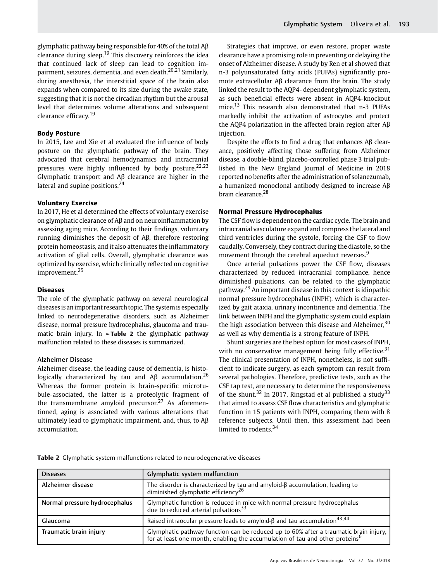glymphatic pathway being responsible for 40% of the total Aβ clearance during sleep.<sup>19</sup> This discovery reinforces the idea that continued lack of sleep can lead to cognition impairment, seizures, dementia, and even death. $20,21$  Similarly, during anesthesia, the interstitial space of the brain also expands when compared to its size during the awake state, suggesting that it is not the circadian rhythm but the arousal level that determines volume alterations and subsequent clearance efficacy.<sup>19</sup>

#### Body Posture

In 2015, Lee and Xie et al evaluated the influence of body posture on the glymphatic pathway of the brain. They advocated that cerebral hemodynamics and intracranial pressures were highly influenced by body posture.<sup>22,23</sup> Glymphatic transport and Aβ clearance are higher in the lateral and supine positions.<sup>24</sup>

#### Voluntary Exercise

In 2017, He et al determined the effects of voluntary exercise on glymphatic clearance of Aβ and on neuroinflammation by assessing aging mice. According to their findings, voluntary running diminishes the deposit of Aβ, therefore restoring protein homeostasis, and it also attenuates the inflammatory activation of glial cells. Overall, glymphatic clearance was optimized by exercise, which clinically reflected on cognitive improvement.<sup>25</sup>

#### Diseases

The role of the glymphatic pathway on several neurological diseasesis animportant research topic. The systemis especially linked to neurodegenerative disorders, such as Alzheimer disease, normal pressure hydrocephalus, glaucoma and traumatic brain injury. In ►Table 2 the glymphatic pathway malfunction related to these diseases is summarized.

#### Alzheimer Disease

Alzheimer disease, the leading cause of dementia, is histologically characterized by tau and  $\text{AB}$  accumulation.<sup>26</sup> Whereas the former protein is brain-specific microtubule-associated, the latter is a proteolytic fragment of the transmembrane amyloid precursor.<sup>27</sup> As aforementioned, aging is associated with various alterations that ultimately lead to glymphatic impairment, and, thus, to Aβ accumulation.

Strategies that improve, or even restore, proper waste clearance have a promising role in preventing or delaying the onset of Alzheimer disease. A study by Ren et al showed that n-3 polyunsaturated fatty acids (PUFAs) significantly promote extracellular Aβ clearance from the brain. The study linked the result to the AQP4- dependent glymphatic system, as such beneficial effects were absent in AQP4-knockout mice.<sup>13</sup> This research also demonstrated that n-3 PUFAs markedly inhibit the activation of astrocytes and protect the AQP4 polarization in the affected brain region after Aβ injection.

Despite the efforts to find a drug that enhances Aβ clearance, positively affecting those suffering from Alzheimer disease, a double-blind, placebo-controlled phase 3 trial published in the New England Journal of Medicine in 2018 reported no benefits after the administration of solanezumab, a humanized monoclonal antibody designed to increase Aβ brain clearance.<sup>28</sup>

#### Normal Pressure Hydrocephalus

The CSF flow is dependent on the cardiac cycle. The brain and intracranial vasculature expand and compress the lateral and third ventricles during the systole, forcing the CSF to flow caudally. Conversely, they contract during the diastole, so the movement through the cerebral aqueduct reverses.<sup>9</sup>

Once arterial pulsations power the CSF flow, diseases characterized by reduced intracranial compliance, hence diminished pulsations, can be related to the glymphatic pathway.<sup>29</sup> An important disease in this context is idiopathic normal pressure hydrocephalus (INPH), which is characterized by gait ataxia, urinary incontinence and dementia. The link between INPH and the glymphatic system could explain the high association between this disease and Alzheimer,  $30$ as well as why dementia is a strong feature of INPH.

Shunt surgeries are the best option for most cases of INPH, with no conservative management being fully effective.<sup>31</sup> The clinical presentation of INPH, nonetheless, is not sufficient to indicate surgery, as each symptom can result from several pathologies. Therefore, predictive tests, such as the CSF tap test, are necessary to determine the responsiveness of the shunt.<sup>32</sup> In 2017, Ringstad et al published a study<sup>33</sup> that aimed to assess CSF flow characteristics and glymphatic function in 15 patients with INPH, comparing them with 8 reference subjects. Until then, this assessment had been limited to rodents. $34$ 

Table 2 Glymphatic system malfunctions related to neurodegenerative diseases

| <b>Diseases</b>               | Glymphatic system malfunction                                                                                                                                                 |
|-------------------------------|-------------------------------------------------------------------------------------------------------------------------------------------------------------------------------|
| Alzheimer disease             | The disorder is characterized by tau and amyloid- $\beta$ accumulation, leading to diminished glymphatic efficiency $^{26}$                                                   |
| Normal pressure hydrocephalus | Glymphatic function is reduced in mice with normal pressure hydrocephalus<br>due to reduced arterial pulsations <sup>33</sup>                                                 |
| Glaucoma                      | Raised intraocular pressure leads to amyloid- $\beta$ and tau accumulation <sup>43,44</sup>                                                                                   |
| Traumatic brain injury        | Glymphatic pathway function can be reduced up to 60% after a traumatic brain injury, for at least one month, enabling the accumulation of tau and other proteins <sup>6</sup> |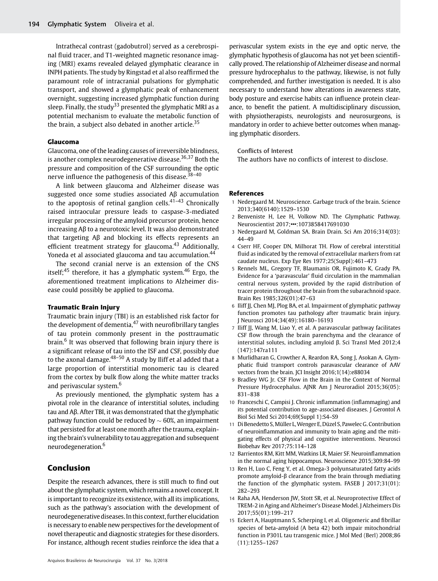Intrathecal contrast (gadobutrol) served as a cerebrospinal fluid tracer, and T1-weighted magnetic resonance imaging (MRI) exams revealed delayed glymphatic clearance in INPH patients. The study by Ringstad et al also reaffirmed the paramount role of intracranial pulsations for glymphatic transport, and showed a glymphatic peak of enhancement overnight, suggesting increased glymphatic function during sleep. Finally, the study<sup>33</sup> presented the glymphatic MRI as a potential mechanism to evaluate the metabolic function of the brain, a subject also debated in another article. $35$ 

#### Glaucoma

Glaucoma, one of the leading causes of irreversible blindness, is another complex neurodegenerative disease.<sup>36,37</sup> Both the pressure and composition of the CSF surrounding the optic nerve influence the pathogenesis of this disease. $38-40$ 

A link between glaucoma and Alzheimer disease was suggested once some studies associated Aβ accumulation to the apoptosis of retinal ganglion cells. $41-43$  Chronically raised intraocular pressure leads to caspase-3-mediated irregular processing of the amyloid precursor protein, hence increasing Aβ to a neurotoxic level. It was also demonstrated that targeting Aβ and blocking its effects represents an efficient treatment strategy for glaucoma.<sup>43</sup> Additionally, Yoneda et al associated glaucoma and tau accumulation.<sup>44</sup>

The second cranial nerve is an extension of the CNS itself;<sup>45</sup> therefore, it has a glymphatic system.<sup>46</sup> Ergo, the aforementioned treatment implications to Alzheimer disease could possibly be applied to glaucoma.

#### Traumatic Brain Injury

Traumatic brain injury (TBI) is an established risk factor for the development of dementia, $47$  with neurofibrillary tangles of tau protein commonly present in the posttraumatic brain.<sup>6</sup> It was observed that following brain injury there is a significant release of tau into the ISF and CSF, possibly due to the axonal damage. $48-50$  A study by Iliff et al added that a large proportion of interstitial monomeric tau is cleared from the cortex by bulk flow along the white matter tracks and perivascular system.<sup>6</sup>

As previously mentioned, the glymphatic system has a pivotal role in the clearance of interstitial solutes, including tau and Aβ. After TBI, it was demonstrated that the glymphatic pathway function could be reduced by  $\sim$  60%, an impairment that persisted for at least one month after the trauma, explaining the brain's vulnerability to tau aggregation and subsequent neurodegeneration.<sup>6</sup>

### Conclusion

Despite the research advances, there is still much to find out about the glymphatic system, which remains a novel concept. It is important to recognize its existence, with all its implications, such as the pathway's association with the development of neurodegenerative diseases. In this context, further elucidation is necessary to enable new perspectives for the development of novel therapeutic and diagnostic strategies for these disorders. For instance, although recent studies reinforce the idea that a

perivascular system exists in the eye and optic nerve, the glymphatic hypothesis of glaucoma has not yet been scientifically proved. The relationship of Alzheimer disease and normal pressure hydrocephalus to the pathway, likewise, is not fully comprehended, and further investigation is needed. It is also necessary to understand how alterations in awareness state, body posture and exercise habits can influence protein clearance, to benefit the patient. A multidisciplinary discussion, with physiotherapists, neurologists and neurosurgeons, is mandatory in order to achieve better outcomes when managing glymphatic disorders.

#### Conflicts of Interest

The authors have no conflicts of interest to disclose.

#### References

- 1 Nedergaard M. Neuroscience. Garbage truck of the brain. Science 2013;340(6140):1529–1530
- 2 Benveniste H, Lee H, Volkow ND. The Glymphatic Pathway. Neuroscientist 2017;•••:1073858417691030
- 3 Nedergaard M, Goldman SA. Brain Drain. Sci Am 2016;314(03): 44–49
- 4 Cserr HF, Cooper DN, Milhorat TH. Flow of cerebral interstitial fluid as indicated by the removal of extracellular markers from rat caudate nucleus. Exp Eye Res 1977;25(Suppl):461–473
- 5 Rennels ML, Gregory TF, Blaumanis OR, Fujimoto K, Grady PA. Evidence for a 'paravascular' fluid circulation in the mammalian central nervous system, provided by the rapid distribution of tracer protein throughout the brain from the subarachnoid space. Brain Res 1985;326(01):47–63
- 6 Iliff JJ, Chen MJ, Plog BA, et al. Impairment of glymphatic pathway function promotes tau pathology after traumatic brain injury. J Neurosci 2014;34(49):16180–16193
- 7 Iliff JJ, Wang M, Liao Y, et al. A paravascular pathway facilitates CSF flow through the brain parenchyma and the clearance of interstitial solutes, including amyloid β. Sci Transl Med 2012;4 (147):147ra111
- 8 Murlidharan G, Crowther A, Reardon RA, Song J, Asokan A. Glymphatic fluid transport controls paravascular clearance of AAV vectors from the brain. JCI Insight 2016;1(14):e88034
- 9 Bradley WG Jr. CSF Flow in the Brain in the Context of Normal Pressure Hydrocephalus. AJNR Am J Neuroradiol 2015;36(05): 831–838
- 10 Franceschi C, Campisi J. Chronic inflammation (inflammaging) and its potential contribution to age-associated diseases. J Gerontol A Biol Sci Med Sci 2014;69(Suppl 1):S4–S9
- 11 Di Benedetto S,Müller L,Wenger E, Düzel S, Pawelec G. Contribution of neuroinflammation and immunity to brain aging and the mitigating effects of physical and cognitive interventions. Neurosci Biobehav Rev 2017;75:114–128
- 12 Barrientos RM, Kitt MM, Watkins LR, Maier SF. Neuroinflammation in the normal aging hippocampus. Neuroscience 2015;309:84–99
- 13 Ren H, Luo C, Feng Y, et al. Omega-3 polyunsaturated fatty acids promote amyloid-β clearance from the brain through mediating the function of the glymphatic system. FASEB J 2017;31(01): 282–293
- 14 Raha AA, Henderson JW, Stott SR, et al. Neuroprotective Effect of TREM-2 in Aging and Alzheimer's Disease Model. J Alzheimers Dis 2017;55(01):199–217
- 15 Eckert A, Hauptmann S, Scherping I, et al. Oligomeric and fibrillar species of beta-amyloid (A beta 42) both impair mitochondrial function in P301L tau transgenic mice. J Mol Med (Berl) 2008;86 (11):1255–1267